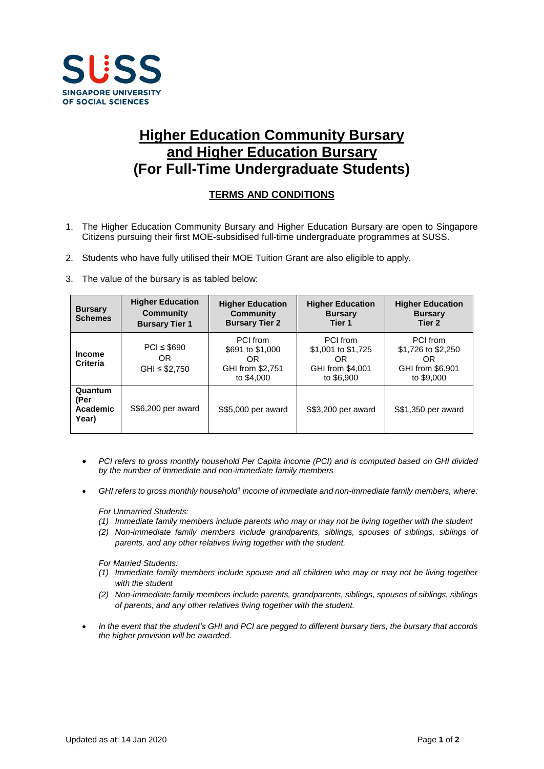

## **Higher Education Community Bursary and Higher Education Bursary (For Full-Time Undergraduate Students)**

## **TERMS AND CONDITIONS**

- 1. The Higher Education Community Bursary and Higher Education Bursary are open to Singapore Citizens pursuing their first MOE-subsidised full-time undergraduate programmes at SUSS.
- 2. Students who have fully utilised their MOE Tuition Grant are also eligible to apply.
- 3. The value of the bursary is as tabled below:

| <b>Bursary</b><br><b>Schemes</b>     | <b>Higher Education</b><br><b>Community</b><br><b>Bursary Tier 1</b> | <b>Higher Education</b><br><b>Community</b><br><b>Bursary Tier 2</b>  | <b>Higher Education</b><br><b>Bursary</b><br>Tier 1                    | <b>Higher Education</b><br><b>Bursary</b><br>Tier 2                     |
|--------------------------------------|----------------------------------------------------------------------|-----------------------------------------------------------------------|------------------------------------------------------------------------|-------------------------------------------------------------------------|
| <b>Income</b><br>Criteria            | $PCI \leq $690$<br>OR<br>$GHI \leq $2,750$                           | PCI from<br>\$691 to \$1,000<br>OR.<br>GHI from \$2,751<br>to \$4,000 | PCI from<br>\$1,001 to \$1,725<br>OR<br>GHI from \$4,001<br>to \$6,900 | PCI from<br>\$1,726 to \$2,250<br>OR.<br>GHI from \$6,901<br>to \$9,000 |
| Quantum<br>(Per<br>Academic<br>Year) | S\$6,200 per award                                                   | S\$5,000 per award                                                    | S\$3,200 per award                                                     | S\$1,350 per award                                                      |

- *PCI refers to gross monthly household Per Capita Income (PCI) and is computed based on GHI divided by the number of immediate and non-immediate family members*
- *GHI refers to gross monthly household<sup>1</sup> income of immediate and non-immediate family members, where:*

*For Unmarried Students:*

- *(1) Immediate family members include parents who may or may not be living together with the student*
- *(2) Non-immediate family members include grandparents, siblings, spouses of siblings, siblings of parents, and any other relatives living together with the student.*

*For Married Students:*

- *(1) Immediate family members include spouse and all children who may or may not be living together with the student*
- *(2) Non-immediate family members include parents, grandparents, siblings, spouses of siblings, siblings of parents, and any other relatives living together with the student.*
- *In the event that the student's GHI and PCI are pegged to different bursary tiers, the bursary that accords the higher provision will be awarded.*